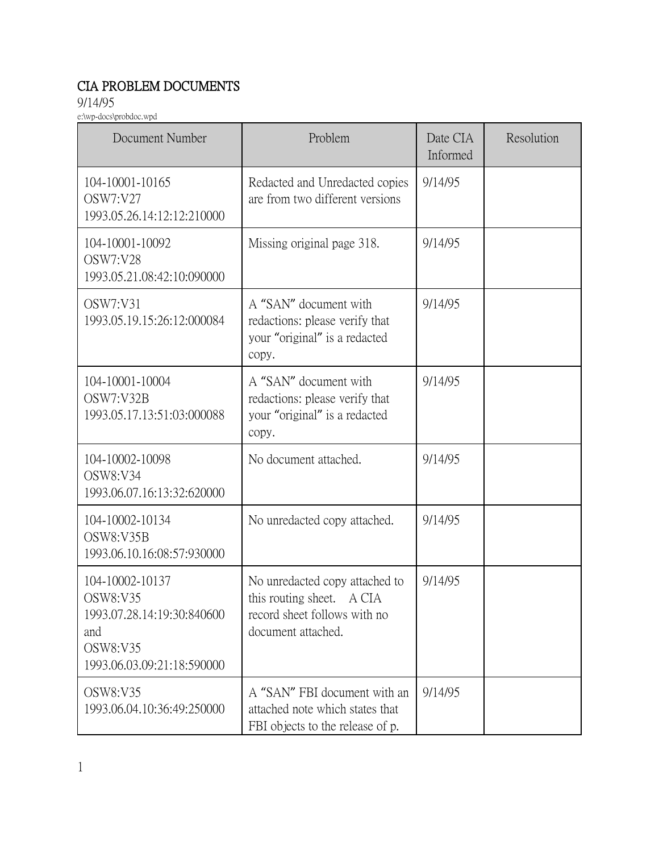## CIA PROBLEM DOCUMENTS

9/14/95

e:\wp-docs\probdoc.wpd

| Document Number                                                                                            | Problem                                                                                                           | Date CIA<br>Informed | Resolution |
|------------------------------------------------------------------------------------------------------------|-------------------------------------------------------------------------------------------------------------------|----------------------|------------|
| 104-10001-10165<br>OSW7:V27<br>1993.05.26.14:12:12:210000                                                  | Redacted and Unredacted copies<br>are from two different versions                                                 | 9/14/95              |            |
| 104-10001-10092<br>OSW7:V28<br>1993.05.21.08:42:10:090000                                                  | Missing original page 318.                                                                                        | 9/14/95              |            |
| OSW7:V31<br>1993.05.19.15:26:12:000084                                                                     | A "SAN" document with<br>redactions: please verify that<br>your "original" is a redacted<br>copy.                 | 9/14/95              |            |
| 104-10001-10004<br>OSW7:V32B<br>1993.05.17.13:51:03:000088                                                 | A "SAN" document with<br>redactions: please verify that<br>your "original" is a redacted<br>copy.                 | 9/14/95              |            |
| 104-10002-10098<br>OSW8:V34<br>1993.06.07.16:13:32:620000                                                  | No document attached.                                                                                             | 9/14/95              |            |
| 104-10002-10134<br>OSW8:V35B<br>1993.06.10.16:08:57:930000                                                 | No unredacted copy attached.                                                                                      | 9/14/95              |            |
| 104-10002-10137<br>OSW8:V35<br>1993.07.28.14:19:30:840600<br>and<br>OSW8:V35<br>1993.06.03.09:21:18:590000 | No unredacted copy attached to<br>this routing sheet. A CIA<br>record sheet follows with no<br>document attached. | 9/14/95              |            |
| OSW8:V35<br>1993.06.04.10:36:49:250000                                                                     | A "SAN" FBI document with an<br>attached note which states that<br>FBI objects to the release of p.               | 9/14/95              |            |